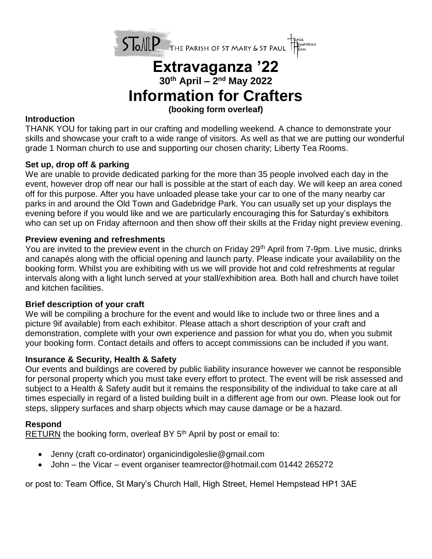

# **Extravaganza '22 30th April – 2 nd May 2022 Information for Crafters**

## **(booking form overleaf)**

#### **Introduction**

THANK YOU for taking part in our crafting and modelling weekend. A chance to demonstrate your skills and showcase your craft to a wide range of visitors. As well as that we are putting our wonderful grade 1 Norman church to use and supporting our chosen charity; Liberty Tea Rooms.

### **Set up, drop off & parking**

We are unable to provide dedicated parking for the more than 35 people involved each day in the event, however drop off near our hall is possible at the start of each day. We will keep an area coned off for this purpose. After you have unloaded please take your car to one of the many nearby car parks in and around the Old Town and Gadebridge Park. You can usually set up your displays the evening before if you would like and we are particularly encouraging this for Saturday's exhibitors who can set up on Friday afternoon and then show off their skills at the Friday night preview evening.

#### **Preview evening and refreshments**

You are invited to the preview event in the church on Friday 29<sup>th</sup> April from 7-9pm. Live music, drinks and canapés along with the official opening and launch party. Please indicate your availability on the booking form. Whilst you are exhibiting with us we will provide hot and cold refreshments at regular intervals along with a light lunch served at your stall/exhibition area. Both hall and church have toilet and kitchen facilities.

#### **Brief description of your craft**

We will be compiling a brochure for the event and would like to include two or three lines and a picture 9if available) from each exhibitor. Please attach a short description of your craft and demonstration, complete with your own experience and passion for what you do, when you submit your booking form. Contact details and offers to accept commissions can be included if you want.

#### **Insurance & Security, Health & Safety**

Our events and buildings are covered by public liability insurance however we cannot be responsible for personal property which you must take every effort to protect. The event will be risk assessed and subject to a Health & Safety audit but it remains the responsibility of the individual to take care at all times especially in regard of a listed building built in a different age from our own. Please look out for steps, slippery surfaces and sharp objects which may cause damage or be a hazard.

# **Respond**

RETURN the booking form, overleaf BY 5<sup>th</sup> April by post or email to:

- Jenny (craft co-ordinator) organicindigoleslie@gmail.com
- John the Vicar event organiser teamrector@hotmail.com 01442 265272

or post to: Team Office, St Mary's Church Hall, High Street, Hemel Hempstead HP1 3AE